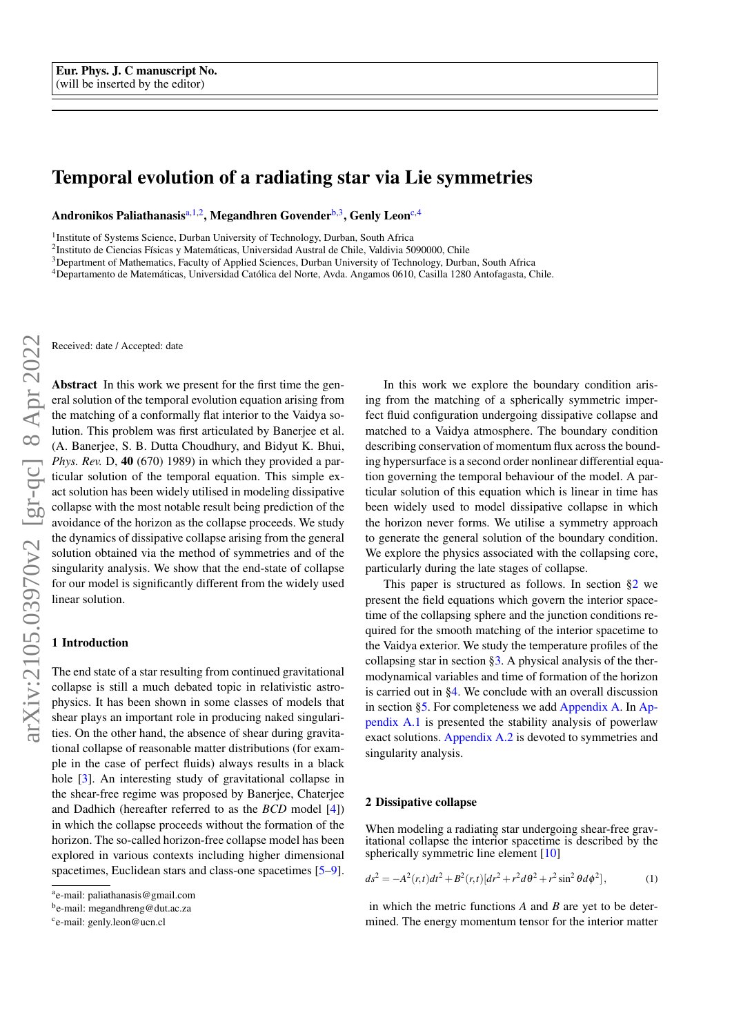# Temporal evolution of a radiating star via Lie symmetries

Andronikos Paliathanasis<sup>[a,](#page-0-0)1,2</sup>, Megandhren Govender<sup>[b,](#page-0-1)3</sup>, Genly Leon<sup>[c,](#page-0-2)4</sup>

<sup>1</sup>Institute of Systems Science, Durban University of Technology, Durban, South Africa

<sup>2</sup>Instituto de Ciencias Físicas y Matemáticas, Universidad Austral de Chile, Valdivia 5090000, Chile

<sup>3</sup>Department of Mathematics, Faculty of Applied Sciences, Durban University of Technology, Durban, South Africa

<sup>4</sup>Departamento de Matemáticas, Universidad Católica del Norte, Avda. Angamos 0610, Casilla 1280 Antofagasta, Chile.

Received: date / Accepted: date

Abstract In this work we present for the first time the general solution of the temporal evolution equation arising from the matching of a conformally flat interior to the Vaidya solution. This problem was first articulated by Banerjee et al. (A. Banerjee, S. B. Dutta Choudhury, and Bidyut K. Bhui, *Phys. Rev.* D, 40 (670) 1989) in which they provided a particular solution of the temporal equation. This simple exact solution has been widely utilised in modeling dissipative collapse with the most notable result being prediction of the avoidance of the horizon as the collapse proceeds. We study the dynamics of dissipative collapse arising from the general solution obtained via the method of symmetries and of the singularity analysis. We show that the end-state of collapse for our model is significantly different from the widely used linear solution.

#### 1 Introduction

The end state of a star resulting from continued gravitational collapse is still a much debated topic in relativistic astrophysics. It has been shown in some classes of models that shear plays an important role in producing naked singularities. On the other hand, the absence of shear during gravitational collapse of reasonable matter distributions (for example in the case of perfect fluids) always results in a black hole [\[3\]](#page-6-0). An interesting study of gravitational collapse in the shear-free regime was proposed by Banerjee, Chaterjee and Dadhich (hereafter referred to as the *BCD* model [\[4\]](#page-6-1)) in which the collapse proceeds without the formation of the horizon. The so-called horizon-free collapse model has been explored in various contexts including higher dimensional spacetimes, Euclidean stars and class-one spacetimes [\[5](#page-6-2)[–9\]](#page-6-3).

In this work we explore the boundary condition arising from the matching of a spherically symmetric imperfect fluid configuration undergoing dissipative collapse and matched to a Vaidya atmosphere. The boundary condition describing conservation of momentum flux across the bounding hypersurface is a second order nonlinear differential equation governing the temporal behaviour of the model. A particular solution of this equation which is linear in time has been widely used to model dissipative collapse in which the horizon never forms. We utilise a symmetry approach to generate the general solution of the boundary condition. We explore the physics associated with the collapsing core, particularly during the late stages of collapse.

This paper is structured as follows. In section  $\S2$  we present the field equations which govern the interior spacetime of the collapsing sphere and the junction conditions required for the smooth matching of the interior spacetime to the Vaidya exterior. We study the temperature profiles of the collapsing star in section  $\S$ 3. A physical analysis of the thermodynamical variables and time of formation of the horizon is carried out in [§4.](#page-3-0) We conclude with an overall discussion in section [§5.](#page-4-0) For completeness we add [Appendix A.](#page-5-0) In [Ap](#page-5-1)[pendix A.1](#page-5-1) is presented the stability analysis of powerlaw exact solutions. [Appendix A.2](#page-6-4) is devoted to symmetries and singularity analysis.

#### <span id="page-0-3"></span>2 Dissipative collapse

<span id="page-0-4"></span>When modeling a radiating star undergoing shear-free gravitational collapse the interior spacetime is described by the spherically symmetric line element [\[10\]](#page-6-5)

$$
ds^{2} = -A^{2}(r,t)dt^{2} + B^{2}(r,t)[dr^{2} + r^{2}d\theta^{2} + r^{2}\sin^{2}\theta d\phi^{2}],
$$
 (1)

in which the metric functions *A* and *B* are yet to be determined. The energy momentum tensor for the interior matter

<span id="page-0-0"></span>a e-mail: paliathanasis@gmail.com

<span id="page-0-1"></span><sup>&</sup>lt;sup>b</sup>e-mail: megandhreng@dut.ac.za

<span id="page-0-2"></span><sup>&</sup>lt;sup>c</sup>e-mail: genly.leon@ucn.cl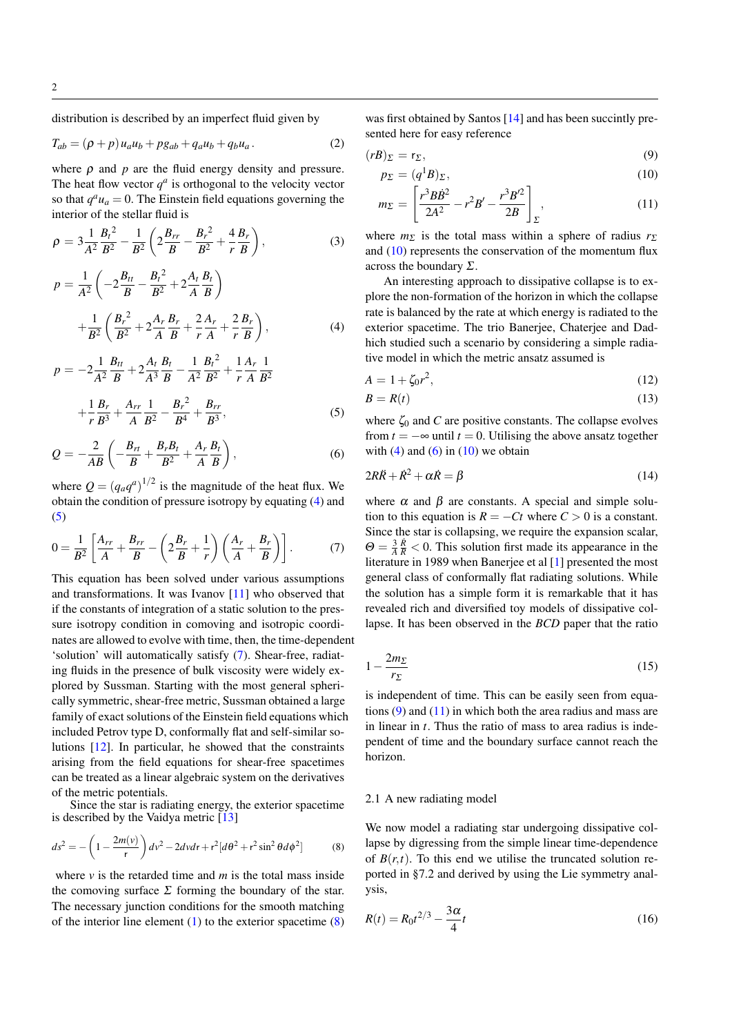distribution is described by an imperfect fluid given by

$$
T_{ab} = (\rho + p)u_a u_b + pg_{ab} + q_a u_b + q_b u_a.
$$
 (2)

where  $\rho$  and  $p$  are the fluid energy density and pressure. The heat flow vector  $q^a$  is orthogonal to the velocity vector so that  $q^a u_a = 0$ . The Einstein field equations governing the interior of the stellar fluid is

<span id="page-1-0"></span>
$$
\rho = 3\frac{1}{A^2}\frac{B_t^2}{B^2} - \frac{1}{B^2} \left( 2\frac{B_{rr}}{B} - \frac{B_r^2}{B^2} + \frac{4}{r}\frac{B_r}{B} \right),\tag{3}
$$

$$
p = \frac{1}{A^2} \left( -2\frac{B_{tt}}{B} - \frac{B_t^2}{B^2} + 2\frac{A_t}{A} \frac{B_t}{B} \right)
$$
  
+ 
$$
\frac{1}{B^2} \left( \frac{B_r^2}{B^2} + 2\frac{A_r}{A} \frac{B_r}{B} + \frac{2}{r} \frac{A_r}{A} + \frac{2}{r} \frac{B_r}{B} \right),
$$
 (4)

$$
p = -2\frac{1}{A^2}\frac{B_{tt}}{B} + 2\frac{A_t}{A^3}\frac{B_t}{B} - \frac{1}{A^2}\frac{B_t^2}{B^2} + \frac{1}{r}\frac{A_r}{A}\frac{1}{B^2}
$$

$$
+\frac{1}{r}\frac{B_r}{B^3} + \frac{A_{rr}}{A}\frac{1}{B^2} - \frac{B_r^2}{B^4} + \frac{B_{rr}}{B^3},
$$
\n(5)

$$
Q = -\frac{2}{AB} \left( -\frac{B_{rt}}{B} + \frac{B_r B_t}{B^2} + \frac{A_r B_t}{A} \right),\tag{6}
$$

<span id="page-1-1"></span>where  $Q = (q_a q^a)^{1/2}$  is the magnitude of the heat flux. We obtain the condition of pressure isotropy by equating [\(4\)](#page-1-0) and [\(5\)](#page-1-0)

$$
0 = \frac{1}{B^2} \left[ \frac{A_{rr}}{A} + \frac{B_{rr}}{B} - \left( 2\frac{B_r}{B} + \frac{1}{r} \right) \left( \frac{A_r}{A} + \frac{B_r}{B} \right) \right].
$$
 (7)

This equation has been solved under various assumptions and transformations. It was Ivanov [\[11\]](#page-6-6) who observed that if the constants of integration of a static solution to the pressure isotropy condition in comoving and isotropic coordinates are allowed to evolve with time, then, the time-dependent 'solution' will automatically satisfy [\(7\)](#page-1-1). Shear-free, radiating fluids in the presence of bulk viscosity were widely explored by Sussman. Starting with the most general spherically symmetric, shear-free metric, Sussman obtained a large family of exact solutions of the Einstein field equations which included Petrov type D, conformally flat and self-similar solutions [\[12\]](#page-6-7). In particular, he showed that the constraints arising from the field equations for shear-free spacetimes can be treated as a linear algebraic system on the derivatives of the metric potentials.

Since the star is radiating energy, the exterior spacetime is described by the Vaidya metric  $\begin{bmatrix} 13 \end{bmatrix}$ 

$$
ds^{2} = -\left(1 - \frac{2m(v)}{r}\right)dv^{2} - 2dvdr + r^{2}[d\theta^{2} + r^{2}\sin^{2}\theta d\phi^{2}]
$$
 (8)

where  $\nu$  is the retarded time and  $m$  is the total mass inside the comoving surface  $\Sigma$  forming the boundary of the star. The necessary junction conditions for the smooth matching of the interior line element  $(1)$  to the exterior spacetime  $(8)$  was first obtained by Santos [\[14\]](#page-6-9) and has been succintly presented here for easy reference

<span id="page-1-3"></span>
$$
(rB)_{\Sigma} = r_{\Sigma},\tag{9}
$$

$$
p_{\Sigma} = (q^1 B)_{\Sigma},\tag{10}
$$

$$
m_{\Sigma} = \left[\frac{r^3 B \dot{B}^2}{2A^2} - r^2 B' - \frac{r^3 B'^2}{2B}\right]_{\Sigma},
$$
\n(11)

where  $m_{\Sigma}$  is the total mass within a sphere of radius  $r_{\Sigma}$ and  $(10)$  represents the conservation of the momentum flux across the boundary  $\Sigma$ .

An interesting approach to dissipative collapse is to explore the non-formation of the horizon in which the collapse rate is balanced by the rate at which energy is radiated to the exterior spacetime. The trio Banerjee, Chaterjee and Dadhich studied such a scenario by considering a simple radiative model in which the metric ansatz assumed is

<span id="page-1-4"></span>
$$
A = 1 + \zeta_0 r^2,\tag{12}
$$

$$
B = R(t) \tag{13}
$$

<span id="page-1-5"></span>where  $\zeta_0$  and *C* are positive constants. The collapse evolves from  $t = -\infty$  until  $t = 0$ . Utilising the above ansatz together with  $(4)$  and  $(6)$  in  $(10)$  we obtain

$$
2R\ddot{R} + \dot{R}^2 + \alpha \dot{R} = \beta \tag{14}
$$

where  $\alpha$  and  $\beta$  are constants. A special and simple solution to this equation is  $R = -Ct$  where  $C > 0$  is a constant. Since the star is collapsing, we require the expansion scalar,  $\Theta = \frac{3}{A} \frac{\dot{R}}{R} < 0$ . This solution first made its appearance in the literature in 1989 when Banerjee et al [\[1\]](#page-6-10) presented the most general class of conformally flat radiating solutions. While the solution has a simple form it is remarkable that it has revealed rich and diversified toy models of dissipative collapse. It has been observed in the *BCD* paper that the ratio

$$
1 - \frac{2m_{\Sigma}}{r_{\Sigma}}\tag{15}
$$

is independent of time. This can be easily seen from equations  $(9)$  and  $(11)$  in which both the area radius and mass are in linear in *t*. Thus the ratio of mass to area radius is independent of time and the boundary surface cannot reach the horizon.

# 2.1 A new radiating model

<span id="page-1-2"></span>We now model a radiating star undergoing dissipative collapse by digressing from the simple linear time-dependence of  $B(r,t)$ . To this end we utilise the truncated solution reported in §7.2 and derived by using the Lie symmetry analysis,

$$
R(t) = R_0 t^{2/3} - \frac{3\alpha}{4}t
$$
\n(16)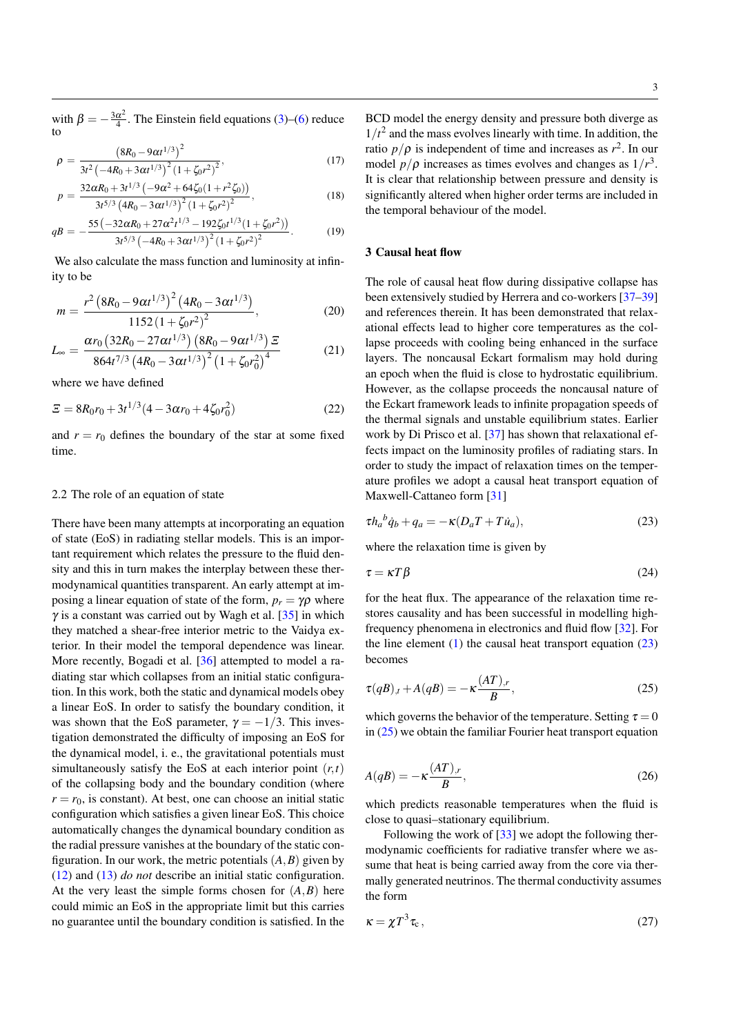with  $\beta = -\frac{3\alpha^2}{4}$  $\frac{\alpha^2}{4}$ . The Einstein field equations [\(3\)](#page-1-0)–[\(6\)](#page-1-0) reduce to

$$
\rho = \frac{\left(8R_0 - 9\alpha t^{1/3}\right)^2}{3t^2 \left(-4R_0 + 3\alpha t^{1/3}\right)^2 \left(1 + \zeta_0 r^2\right)^2},\tag{17}
$$

$$
p = \frac{32\alpha R_0 + 3t^{1/3} \left(-9\alpha^2 + 64\zeta_0(1 + r^2\zeta_0)\right)}{3t^{5/3} \left(4R_0 - 3\alpha t^{1/3}\right)^2 \left(1 + \zeta_0 r^2\right)^2},\tag{18}
$$

$$
qB = -\frac{55\left(-32\alpha R_0 + 27\alpha^2 t^{1/3} - 192\zeta_0 t^{1/3} (1 + \zeta_0 r^2)\right)}{3t^{5/3} \left(-4R_0 + 3\alpha t^{1/3}\right)^2 \left(1 + \zeta_0 r^2\right)^2}.
$$
 (19)

We also calculate the mass function and luminosity at infinity to be

<span id="page-2-3"></span>
$$
m = \frac{r^2 \left(8R_0 - 9\alpha t^{1/3}\right)^2 \left(4R_0 - 3\alpha t^{1/3}\right)}{1152 \left(1 + \zeta_0 r^2\right)^2},\tag{20}
$$

$$
L_{\infty} = \frac{\alpha r_0 \left(32R_0 - 27\alpha t^{1/3}\right) \left(8R_0 - 9\alpha t^{1/3}\right) \Xi}{864t^{7/3} \left(4R_0 - 3\alpha t^{1/3}\right)^2 \left(1 + \zeta_0 r_0^2\right)^4}
$$
(21)

where we have defined

$$
\Xi = 8R_0r_0 + 3t^{1/3}(4 - 3\alpha r_0 + 4\zeta_0 r_0^2)
$$
 (22)

and  $r = r_0$  defines the boundary of the star at some fixed time.

# 2.2 The role of an equation of state

There have been many attempts at incorporating an equation of state (EoS) in radiating stellar models. This is an important requirement which relates the pressure to the fluid density and this in turn makes the interplay between these thermodynamical quantities transparent. An early attempt at imposing a linear equation of state of the form,  $p_r = \gamma \rho$  where  $\gamma$  is a constant was carried out by Wagh et al. [\[35\]](#page-7-0) in which they matched a shear-free interior metric to the Vaidya exterior. In their model the temporal dependence was linear. More recently, Bogadi et al. [\[36\]](#page-7-1) attempted to model a radiating star which collapses from an initial static configuration. In this work, both the static and dynamical models obey a linear EoS. In order to satisfy the boundary condition, it was shown that the EoS parameter,  $\gamma = -1/3$ . This investigation demonstrated the difficulty of imposing an EoS for the dynamical model, i. e., the gravitational potentials must simultaneously satisfy the EoS at each interior point  $(r, t)$ of the collapsing body and the boundary condition (where  $r = r_0$ , is constant). At best, one can choose an initial static configuration which satisfies a given linear EoS. This choice automatically changes the dynamical boundary condition as the radial pressure vanishes at the boundary of the static configuration. In our work, the metric potentials  $(A, B)$  given by [\(12\)](#page-1-4) and [\(13\)](#page-1-4) *do not* describe an initial static configuration. At the very least the simple forms chosen for  $(A, B)$  here could mimic an EoS in the appropriate limit but this carries no guarantee until the boundary condition is satisfied. In the BCD model the energy density and pressure both diverge as  $1/t<sup>2</sup>$  and the mass evolves linearly with time. In addition, the ratio  $p/\rho$  is independent of time and increases as  $r^2$ . In our model  $p/\rho$  increases as times evolves and changes as  $1/r^3$ . It is clear that relationship between pressure and density is significantly altered when higher order terms are included in the temporal behaviour of the model.

# <span id="page-2-0"></span>3 Causal heat flow

The role of causal heat flow during dissipative collapse has been extensively studied by Herrera and co-workers [\[37–](#page-7-2)[39\]](#page-7-3) and references therein. It has been demonstrated that relaxational effects lead to higher core temperatures as the collapse proceeds with cooling being enhanced in the surface layers. The noncausal Eckart formalism may hold during an epoch when the fluid is close to hydrostatic equilibrium. However, as the collapse proceeds the noncausal nature of the Eckart framework leads to infinite propagation speeds of the thermal signals and unstable equilibrium states. Earlier work by Di Prisco et al. [\[37\]](#page-7-2) has shown that relaxational effects impact on the luminosity profiles of radiating stars. In order to study the impact of relaxation times on the temperature profiles we adopt a causal heat transport equation of Maxwell-Cattaneo form [\[31\]](#page-6-11)

<span id="page-2-1"></span>
$$
\tau h_a{}^b \dot{q}_b + q_a = -\kappa (D_a T + T \dot{u}_a),\tag{23}
$$

where the relaxation time is given by

$$
\tau = \kappa T \beta \tag{24}
$$

for the heat flux. The appearance of the relaxation time restores causality and has been successful in modelling highfrequency phenomena in electronics and fluid flow [\[32\]](#page-7-4). For the line element  $(1)$  the causal heat transport equation  $(23)$ becomes

<span id="page-2-2"></span>
$$
\tau(qB)_{,t} + A(qB) = -\kappa \frac{(AT)_{,r}}{B},\tag{25}
$$

which governs the behavior of the temperature. Setting  $\tau = 0$ in  $(25)$  we obtain the familiar Fourier heat transport equation

$$
A(qB) = -\kappa \frac{(AT)_{,r}}{B},\tag{26}
$$

which predicts reasonable temperatures when the fluid is close to quasi–stationary equilibrium.

Following the work of [\[33\]](#page-7-5) we adopt the following thermodynamic coefficients for radiative transfer where we assume that heat is being carried away from the core via thermally generated neutrinos. The thermal conductivity assumes the form

$$
\kappa = \chi T^3 \tau_c, \qquad (27)
$$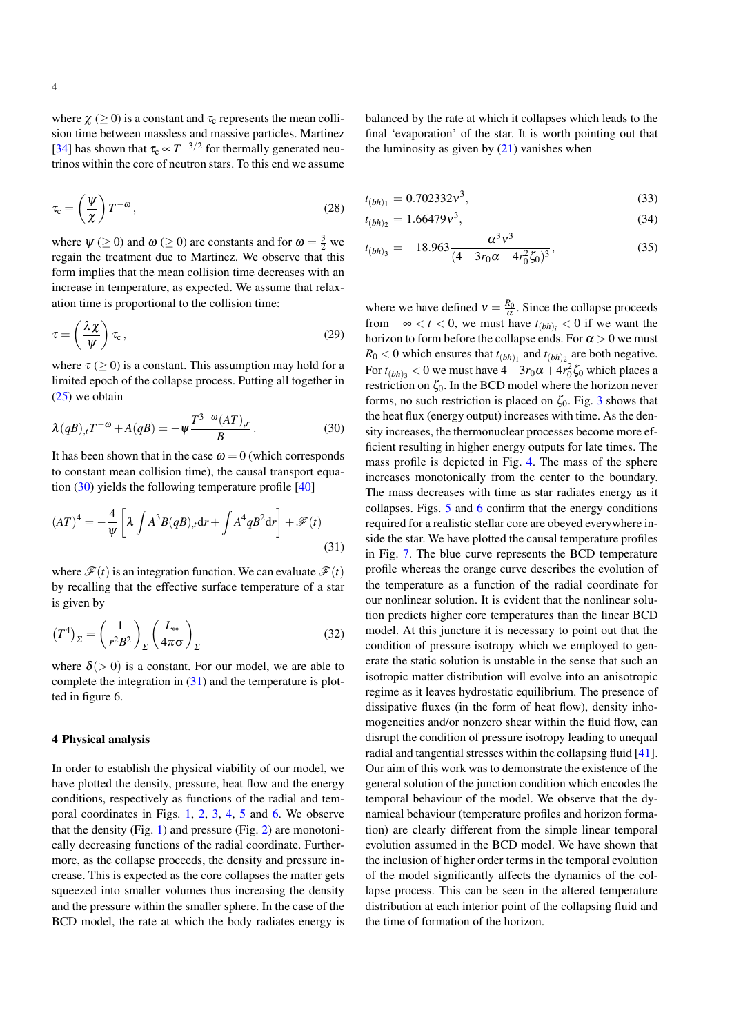where  $\chi$  ( $\geq$  0) is a constant and  $\tau_c$  represents the mean collision time between massless and massive particles. Martinez [\[34\]](#page-7-6) has shown that  $\tau_c \propto T^{-3/2}$  for thermally generated neutrinos within the core of neutron stars. To this end we assume

$$
\tau_{\rm c} = \left(\frac{\psi}{\chi}\right) T^{-\omega},\tag{28}
$$

where  $\psi$  ( $\geq$  0) and  $\omega$  ( $\geq$  0) are constants and for  $\omega = \frac{3}{2}$  we regain the treatment due to Martinez. We observe that this form implies that the mean collision time decreases with an increase in temperature, as expected. We assume that relaxation time is proportional to the collision time:

$$
\tau = \left(\frac{\lambda \chi}{\psi}\right) \tau_{\rm c},\tag{29}
$$

<span id="page-3-1"></span>where  $\tau \geq 0$  is a constant. This assumption may hold for a limited epoch of the collapse process. Putting all together in [\(25\)](#page-2-2) we obtain

$$
\lambda(qB)_{,t}T^{-\omega} + A(qB) = -\psi \frac{T^{3-\omega}(AT)_{,r}}{B}.
$$
 (30)

It has been shown that in the case  $\omega = 0$  (which corresponds to constant mean collision time), the causal transport equation  $(30)$  yields the following temperature profile  $[40]$ 

$$
(AT)^4 = -\frac{4}{\psi} \left[ \lambda \int A^3 B(qB)_{,t} dr + \int A^4 q B^2 dr \right] + \mathcal{F}(t)
$$
\n(31)

where  $\mathscr{F}(t)$  is an integration function. We can evaluate  $\mathscr{F}(t)$ by recalling that the effective surface temperature of a star is given by

$$
(T^4)_{\Sigma} = \left(\frac{1}{r^2 B^2}\right)_{\Sigma} \left(\frac{L_{\infty}}{4\pi\sigma}\right)_{\Sigma} \tag{32}
$$

where  $\delta$ (> 0) is a constant. For our model, we are able to complete the integration in [\(31\)](#page-3-2) and the temperature is plotted in figure 6.

#### <span id="page-3-0"></span>4 Physical analysis

In order to establish the physical viability of our model, we have plotted the density, pressure, heat flow and the energy conditions, respectively as functions of the radial and temporal coordinates in Figs. [1,](#page-4-1) [2,](#page-4-2) [3,](#page-4-3) [4,](#page-4-4) [5](#page-4-5) and [6.](#page-4-6) We observe that the density (Fig. [1\)](#page-4-1) and pressure (Fig. [2\)](#page-4-2) are monotonically decreasing functions of the radial coordinate. Furthermore, as the collapse proceeds, the density and pressure increase. This is expected as the core collapses the matter gets squeezed into smaller volumes thus increasing the density and the pressure within the smaller sphere. In the case of the BCD model, the rate at which the body radiates energy is

balanced by the rate at which it collapses which leads to the final 'evaporation' of the star. It is worth pointing out that the luminosity as given by  $(21)$  vanishes when

$$
t_{(bh)_1} = 0.702332 \nu^3,
$$
\n(33)

$$
t_{(bh)_2} = 1.66479v^3,
$$
\n(34)

$$
t_{(bh)_3} = -18.963 \frac{\alpha^3 v^3}{(4 - 3r_0\alpha + 4r_0^2 \zeta_0)^3},\tag{35}
$$

<span id="page-3-2"></span>where we have defined  $v = \frac{R_0}{\alpha}$ . Since the collapse proceeds from  $-\infty < t < 0$ , we must have  $t_{(bh)_i} < 0$  if we want the horizon to form before the collapse ends. For  $\alpha > 0$  we must  $R_0 < 0$  which ensures that  $t_{(bh)_1}$  and  $t_{(bh)_2}$  are both negative. For  $t_{(bh)_3} < 0$  we must have  $4 - 3r_0\alpha + 4r_0^2\zeta_0$  which places a restriction on  $\zeta_0$ . In the BCD model where the horizon never forms, no such restriction is placed on  $\zeta_0$ . Fig. [3](#page-4-3) shows that the heat flux (energy output) increases with time. As the density increases, the thermonuclear processes become more efficient resulting in higher energy outputs for late times. The mass profile is depicted in Fig. [4.](#page-4-4) The mass of the sphere increases monotonically from the center to the boundary. The mass decreases with time as star radiates energy as it collapses. Figs. [5](#page-4-5) and [6](#page-4-6) confirm that the energy conditions required for a realistic stellar core are obeyed everywhere inside the star. We have plotted the causal temperature profiles in Fig. [7.](#page-4-7) The blue curve represents the BCD temperature profile whereas the orange curve describes the evolution of the temperature as a function of the radial coordinate for our nonlinear solution. It is evident that the nonlinear solution predicts higher core temperatures than the linear BCD model. At this juncture it is necessary to point out that the condition of pressure isotropy which we employed to generate the static solution is unstable in the sense that such an isotropic matter distribution will evolve into an anisotropic regime as it leaves hydrostatic equilibrium. The presence of dissipative fluxes (in the form of heat flow), density inhomogeneities and/or nonzero shear within the fluid flow, can disrupt the condition of pressure isotropy leading to unequal radial and tangential stresses within the collapsing fluid [\[41\]](#page-7-8). Our aim of this work was to demonstrate the existence of the general solution of the junction condition which encodes the temporal behaviour of the model. We observe that the dynamical behaviour (temperature profiles and horizon formation) are clearly different from the simple linear temporal evolution assumed in the BCD model. We have shown that the inclusion of higher order terms in the temporal evolution of the model significantly affects the dynamics of the collapse process. This can be seen in the altered temperature distribution at each interior point of the collapsing fluid and the time of formation of the horizon.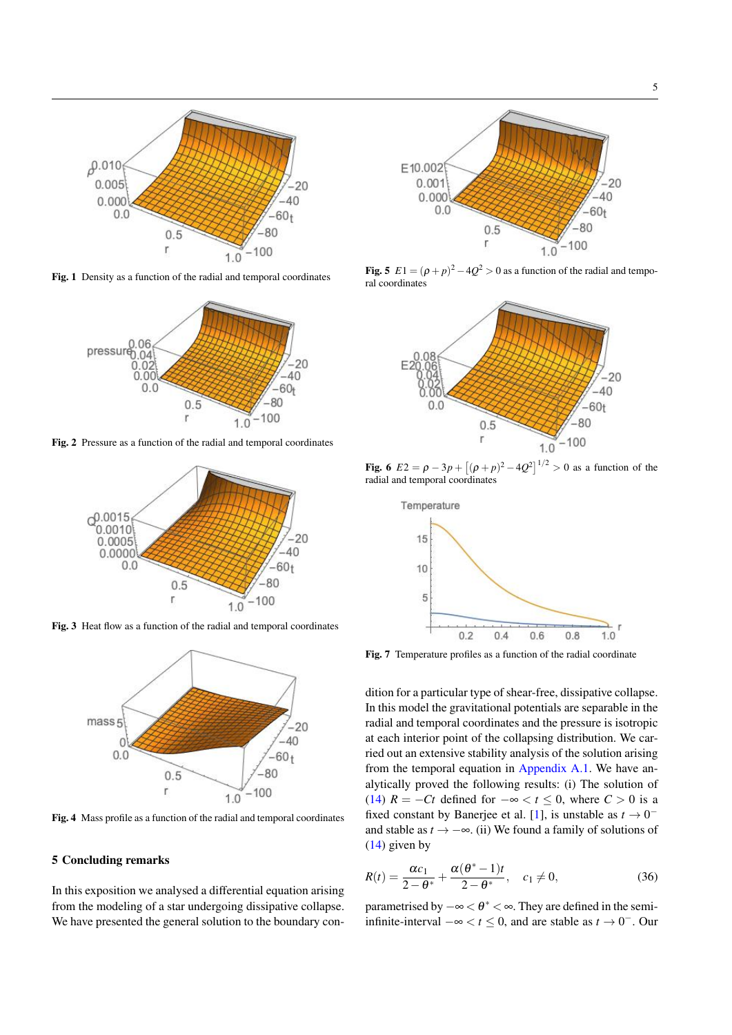

Fig. 1 Density as a function of the radial and temporal coordinates

<span id="page-4-1"></span>

Fig. 2 Pressure as a function of the radial and temporal coordinates

<span id="page-4-2"></span>

Fig. 3 Heat flow as a function of the radial and temporal coordinates

<span id="page-4-3"></span>

<span id="page-4-4"></span>Fig. 4 Mass profile as a function of the radial and temporal coordinates

#### <span id="page-4-0"></span>5 Concluding remarks

In this exposition we analysed a differential equation arising from the modeling of a star undergoing dissipative collapse. We have presented the general solution to the boundary con-



<span id="page-4-5"></span>**Fig. 5**  $E1 = (\rho + p)^2 - 4Q^2 > 0$  as a function of the radial and temporal coordinates



<span id="page-4-6"></span>**Fig. 6**  $E2 = \rho - 3p + [(\rho + p)^2 - 4Q^2]^{1/2} > 0$  as a function of the radial and temporal coordinates



<span id="page-4-7"></span>Fig. 7 Temperature profiles as a function of the radial coordinate

dition for a particular type of shear-free, dissipative collapse. In this model the gravitational potentials are separable in the radial and temporal coordinates and the pressure is isotropic at each interior point of the collapsing distribution. We carried out an extensive stability analysis of the solution arising from the temporal equation in [Appendix A.1.](#page-5-1) We have analytically proved the following results: (i) The solution of [\(14\)](#page-1-5)  $R = -Ct$  defined for  $-\infty < t \leq 0$ , where  $C > 0$  is a fixed constant by Banerjee et al. [\[1\]](#page-6-10), is unstable as  $t \to 0^$ and stable as  $t \rightarrow -\infty$ . (ii) We found a family of solutions of [\(14\)](#page-1-5) given by

<span id="page-4-8"></span>
$$
R(t) = \frac{\alpha c_1}{2 - \theta^*} + \frac{\alpha(\theta^* - 1)t}{2 - \theta^*}, \quad c_1 \neq 0,
$$
\n(36)

parametrised by  $-\infty < \theta^* < \infty$ . They are defined in the semiinfinite-interval  $-\infty < t \le 0$ , and are stable as  $t \to 0^-$ . Our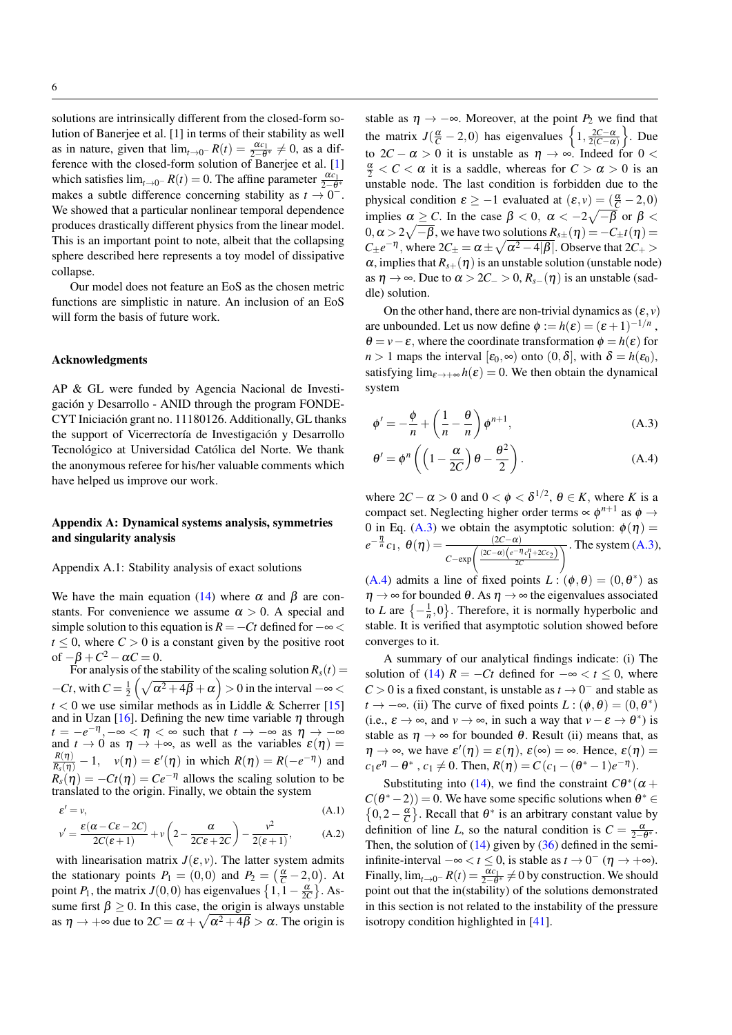solutions are intrinsically different from the closed-form solution of Banerjee et al. [1] in terms of their stability as well as in nature, given that  $\lim_{t\to 0^-} R(t) = \frac{\alpha c_1}{2-\theta^*} \neq 0$ , as a difference with the closed-form solution of Banerjee et al. [\[1\]](#page-6-10) which satisfies  $\lim_{t\to 0^-} R(t) = 0$ . The affine parameter  $\frac{\alpha c_1}{2-\theta^*}$ makes a subtle difference concerning stability as  $t \to 0^-$ . We showed that a particular nonlinear temporal dependence produces drastically different physics from the linear model. This is an important point to note, albeit that the collapsing sphere described here represents a toy model of dissipative collapse.

Our model does not feature an EoS as the chosen metric functions are simplistic in nature. An inclusion of an EoS will form the basis of future work.

#### Acknowledgments

AP & GL were funded by Agencia Nacional de Investigación y Desarrollo - ANID through the program FONDE-CYT Iniciación grant no. 11180126. Additionally, GL thanks the support of Vicerrectoría de Investigación y Desarrollo Tecnológico at Universidad Católica del Norte. We thank the anonymous referee for his/her valuable comments which have helped us improve our work.

# <span id="page-5-0"></span>Appendix A: Dynamical systems analysis, symmetries and singularity analysis

<span id="page-5-1"></span>Appendix A.1: Stability analysis of exact solutions

We have the main equation [\(14\)](#page-1-5) where  $\alpha$  and  $\beta$  are constants. For convenience we assume  $\alpha > 0$ . A special and simple solution to this equation is  $R = -Ct$  defined for  $-\infty$  $t \leq 0$ , where  $C > 0$  is a constant given by the positive root of  $-\beta + C^2 - \alpha C = 0$ .

For analysis of the stability of the scaling solution  $R_s(t)$  =  $-Ct$ , with  $C = \frac{1}{2} \left( \sqrt{\alpha^2 + 4\beta} + \alpha \right) > 0$  in the interval  $-\infty <$  $t < 0$  we use similar methods as in Liddle & Scherrer [\[15\]](#page-6-12) and in Uzan [\[16\]](#page-6-13). Defining the new time variable  $\eta$  through  $t = -e^{-\eta}, -\infty < \eta < \infty$  such that  $t \to -\infty$  as  $\eta \to -\infty$ and  $t \to 0$  as  $\eta \to +\infty$ , as well as the variables  $\varepsilon(\eta) =$  $\frac{R(\eta)}{R_s(\eta)} - 1$ ,  $v(\eta) = \varepsilon'(\eta)$  in which  $R(\eta) = R(-e^{-\eta})$  and  $R_s(\eta) = -Ct(\eta) = Ce^{-\eta}$  allows the scaling solution to be translated to the origin. Finally, we obtain the system

$$
\varepsilon' = v,
$$
\n(A.1)\n
$$
v' = \frac{\varepsilon(\alpha - C\varepsilon - 2C)}{2C(\varepsilon + 1)} + v\left(2 - \frac{\alpha}{2C\varepsilon + 2C}\right) - \frac{v^2}{2(\varepsilon + 1)},
$$
\n(A.2)

with linearisation matrix  $J(\varepsilon, v)$ . The latter system admits the stationary points  $P_1 = (0,0)$  and  $P_2 = (\frac{\alpha}{C} - 2,0)$ . At point *P*<sub>1</sub>, the matrix *J*(0,0) has eigenvalues  $\left\{1, 1 - \frac{\alpha}{2C}\right\}$ . Assume first  $\beta \geq 0$ . In this case, the origin is always unstable as  $\eta \to +\infty$  due to  $2C = \alpha + \sqrt{\alpha^2 + 4\beta} > \alpha$ . The origin is

stable as  $\eta \rightarrow -\infty$ . Moreover, at the point  $P_2$  we find that the matrix  $J(\frac{\alpha}{C} - 2, 0)$  has eigenvalues  $\left\{1, \frac{2C - \alpha}{2(C - \alpha)}\right\}$ . Due to  $2C - \alpha > 0$  it is unstable as  $\eta \rightarrow \infty$ . Indeed for  $0 <$  $\frac{\alpha}{2} < C < \alpha$  it is a saddle, whereas for  $C > \alpha > 0$  is an unstable node. The last condition is forbidden due to the physical condition  $\varepsilon \ge -1$  evaluated at  $(\varepsilon, v) = (\frac{\alpha}{C} - 2, 0)$ implies  $\alpha \geq C$ . In the case  $\beta < 0$ ,  $\alpha < -2\sqrt{-\beta}$  or  $\beta < \beta$  $0, \alpha > 2\sqrt{-\beta}$ , we have two solutions  $R_{s\pm}(\eta) = -C_{\pm}t(\eta) = 0$  $C_{\pm}e^{-\eta}$ , where  $2C_{\pm} = \alpha \pm \sqrt{\alpha^2 - 4|\beta|}$ . Observe that  $2C_{+}$  $\alpha$ , implies that  $R_{s+}(\eta)$  is an unstable solution (unstable node) as  $\eta \to \infty$ . Due to  $\alpha > 2C_> 0$ ,  $R_{s-1}(\eta)$  is an unstable (saddle) solution.

On the other hand, there are non-trivial dynamics as  $(\varepsilon, v)$ are unbounded. Let us now define  $\phi := h(\varepsilon) = (\varepsilon + 1)^{-1/n}$ ,  $\theta = v - \varepsilon$ , where the coordinate transformation  $\phi = h(\varepsilon)$  for *n* > 1 maps the interval  $[\varepsilon_0, \infty)$  onto  $(0, \delta]$ , with  $\delta = h(\varepsilon_0)$ , satisfying  $\lim_{\epsilon \to +\infty} h(\epsilon) = 0$ . We then obtain the dynamical system

<span id="page-5-2"></span>
$$
\phi' = -\frac{\phi}{n} + \left(\frac{1}{n} - \frac{\theta}{n}\right)\phi^{n+1},\tag{A.3}
$$

$$
\theta' = \phi^n \left( \left( 1 - \frac{\alpha}{2C} \right) \theta - \frac{\theta^2}{2} \right). \tag{A.4}
$$

where  $2C - \alpha > 0$  and  $0 < \phi < \delta^{1/2}$ ,  $\theta \in K$ , where *K* is a compact set. Neglecting higher order terms  $\propto \phi^{n+1}$  as  $\phi \rightarrow$ 0 in Eq. [\(A.3\)](#page-5-2) we obtain the asymptotic solution:  $\phi(\eta) =$  $e^{-\frac{\eta}{n}}c_1, \theta(\eta) = \frac{(2C-\alpha)}{(2C-\alpha)(\eta-\eta)}$  $C - \exp\left(\frac{(2C - \alpha)\left(e^{-\eta}c_1^n + 2Cc_2\right)}{2C}\right)$  $\overline{\chi}$ . The system [\(A.3\)](#page-5-2),

[\(A.4\)](#page-5-2) admits a line of fixed points  $L: (\phi, \theta) = (0, \theta^*)$  as  $\eta \rightarrow \infty$  for bounded  $\theta$ . As  $\eta \rightarrow \infty$  the eigenvalues associated to *L* are  $\{-\frac{1}{n}, 0\}$ . Therefore, it is normally hyperbolic and stable. It is verified that asymptotic solution showed before converges to it.

A summary of our analytical findings indicate: (i) The solution of [\(14\)](#page-1-5)  $R = -Ct$  defined for  $-\infty < t \leq 0$ , where  $C > 0$  is a fixed constant, is unstable as  $t \to 0^-$  and stable as *t* →  $-\infty$ . (ii) The curve of fixed points *L* : ( $\phi$ ,  $\theta$ ) = (0,  $\theta^*$ ) (i.e.,  $\varepsilon \to \infty$ , and  $v \to \infty$ , in such a way that  $v - \varepsilon \to \theta^*$ ) is stable as  $\eta \rightarrow \infty$  for bounded  $\theta$ . Result (ii) means that, as  $\eta \to \infty$ , we have  $\varepsilon'(\eta) = \varepsilon(\eta)$ ,  $\varepsilon(\infty) = \infty$ . Hence,  $\varepsilon(\eta) =$  $c_1 e^{\eta} - \theta^*$ ,  $c_1 \neq 0$ . Then,  $R(\eta) = C(c_1 - (\theta^* - 1)e^{-\eta})$ .

Substituting into [\(14\)](#page-1-5), we find the constraint  $C\theta^*(\alpha + \alpha)$  $C(\theta^*-2)$  = 0. We have some specific solutions when  $\theta^* \in$  $\{0, 2 - \frac{\alpha}{C}\}.$  Recall that  $\theta^*$  is an arbitrary constant value by definition of line *L*, so the natural condition is  $C = \frac{\alpha}{2-\theta^*}$ . Then, the solution of  $(14)$  given by  $(36)$  defined in the semiinfinite-interval  $-\infty < t \le 0$ , is stable as  $t \to 0^-$  (η → +∞). Finally,  $\lim_{t\to 0^-} R(t) = \frac{\alpha c_1}{2-\theta^*} \neq 0$  by construction. We should point out that the in(stability) of the solutions demonstrated in this section is not related to the instability of the pressure isotropy condition highlighted in [\[41\]](#page-7-8).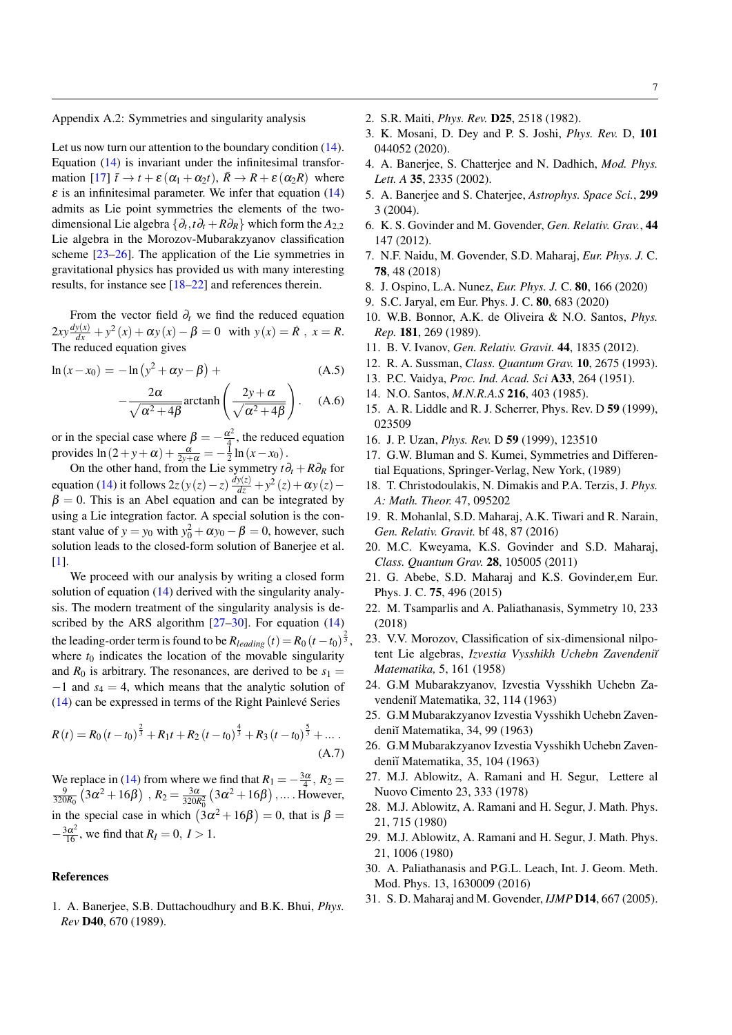<span id="page-6-4"></span>Appendix A.2: Symmetries and singularity analysis

Let us now turn our attention to the boundary condition  $(14)$ . Equation [\(14\)](#page-1-5) is invariant under the infinitesimal transfor-mation [\[17\]](#page-6-14)  $\bar{t} \to t + \varepsilon (\alpha_1 + \alpha_2 t), \bar{R} \to R + \varepsilon (\alpha_2 R)$  where  $\varepsilon$  is an infinitesimal parameter. We infer that equation [\(14\)](#page-1-5) admits as Lie point symmetries the elements of the twodimensional Lie algebra {∂*<sup>t</sup>* ,*t*∂*<sup>t</sup>* +*R*∂*R*} which form the *A*2,<sup>2</sup> Lie algebra in the Morozov-Mubarakzyanov classification scheme [\[23–](#page-6-15)[26\]](#page-6-16). The application of the Lie symmetries in gravitational physics has provided us with many interesting results, for instance see [\[18–](#page-6-17)[22\]](#page-6-18) and references therein.

From the vector field  $\partial_t$  we find the reduced equation  $2xy \frac{dy(x)}{dx} + y^2(x) + \alpha y(x) - \beta = 0$  with  $y(x) = \dot{R}$ ,  $x = R$ . The reduced equation gives

$$
\ln(x - x_0) = -\ln(y^2 + \alpha y - \beta) +
$$
 (A.5)

$$
-\frac{2\alpha}{\sqrt{\alpha^2 + 4\beta}} \operatorname{arctanh}\left(\frac{2y + \alpha}{\sqrt{\alpha^2 + 4\beta}}\right). \quad (A.6)
$$

or in the special case where  $\beta = -\frac{\alpha^2}{4}$  $rac{\chi^2}{4}$ , the reduced equation provides  $\ln(2+y+\alpha) + \frac{\alpha}{2y+\alpha} = -\frac{1}{2}\ln(x-x_0)$ .

On the other hand, from the Lie symmetry *t*∂*<sup>t</sup>* +*R*∂*<sup>R</sup>* for equation [\(14\)](#page-1-5) it follows  $2z(y(z) - z) \frac{dy(z)}{dz} + y^2(z) + \alpha y(z) - z$  $\beta = 0$ . This is an Abel equation and can be integrated by using a Lie integration factor. A special solution is the constant value of  $y = y_0$  with  $y_0^2 + \alpha y_0 - \beta = 0$ , however, such solution leads to the closed-form solution of Banerjee et al. [\[1\]](#page-6-10).

We proceed with our analysis by writing a closed form solution of equation [\(14\)](#page-1-5) derived with the singularity analysis. The modern treatment of the singularity analysis is described by the ARS algorithm  $[27-30]$  $[27-30]$ . For equation  $(14)$ the leading-order term is found to be  $R_{leading}(t) = R_0 (t - t_0)^{\frac{2}{3}},$ where  $t_0$  indicates the location of the movable singularity and  $R_0$  is arbitrary. The resonances, are derived to be  $s_1 =$ −1 and *s*<sup>4</sup> = 4, which means that the analytic solution of [\(14\)](#page-1-5) can be expressed in terms of the Right Painlevé Series

$$
R(t) = R_0 (t - t_0)^{\frac{2}{3}} + R_1 t + R_2 (t - t_0)^{\frac{4}{3}} + R_3 (t - t_0)^{\frac{5}{3}} + \dots
$$
\n(A.7)

We replace in [\(14\)](#page-1-5) from where we find that  $R_1 = -\frac{3\alpha}{4}$ ,  $R_2 = \frac{9}{320R_0}(3\alpha^2 + 16\beta)$ ,  $R_2 = \frac{3\alpha}{320R_0}(3\alpha^2 + 16\beta)$ , ... . However, in the special case in which  $(3\alpha^2 + 16\beta) = 0$ , that is  $\beta =$  $-\frac{3\alpha^2}{16}$ , we find that  $R_I = 0, I > 1$ .

# References

<span id="page-6-10"></span>1. A. Banerjee, S.B. Duttachoudhury and B.K. Bhui, *Phys. Rev* D40, 670 (1989).

- 2. S.R. Maiti, *Phys. Rev.* D25, 2518 (1982).
- <span id="page-6-0"></span>3. K. Mosani, D. Dey and P. S. Joshi, *Phys. Rev.* D, 101 044052 (2020).
- <span id="page-6-1"></span>4. A. Banerjee, S. Chatterjee and N. Dadhich, *Mod. Phys. Lett. A* 35, 2335 (2002).
- <span id="page-6-2"></span>5. A. Banerjee and S. Chaterjee, *Astrophys. Space Sci.*, 299 3 (2004).
- 6. K. S. Govinder and M. Govender, *Gen. Relativ. Grav.*, 44 147 (2012).
- 7. N.F. Naidu, M. Govender, S.D. Maharaj, *Eur. Phys. J.* C. 78, 48 (2018)
- 8. J. Ospino, L.A. Nunez, *Eur. Phys. J.* C. 80, 166 (2020)
- <span id="page-6-3"></span>9. S.C. Jaryal, em Eur. Phys. J. C. 80, 683 (2020)
- <span id="page-6-5"></span>10. W.B. Bonnor, A.K. de Oliveira & N.O. Santos, *Phys. Rep.* 181, 269 (1989).
- <span id="page-6-6"></span>11. B. V. Ivanov, *Gen. Relativ. Gravit.* 44, 1835 (2012).
- <span id="page-6-7"></span>12. R. A. Sussman, *Class. Quantum Grav.* 10, 2675 (1993).
- <span id="page-6-8"></span>13. P.C. Vaidya, *Proc. Ind. Acad. Sci* A33, 264 (1951).
- <span id="page-6-9"></span>14. N.O. Santos, *M.N.R.A.S* 216, 403 (1985).
- <span id="page-6-12"></span>15. A. R. Liddle and R. J. Scherrer, Phys. Rev. D 59 (1999), 023509
- <span id="page-6-13"></span>16. J. P. Uzan, *Phys. Rev.* D 59 (1999), 123510
- <span id="page-6-14"></span>17. G.W. Bluman and S. Kumei, Symmetries and Differential Equations, Springer-Verlag, New York, (1989)
- <span id="page-6-17"></span>18. T. Christodoulakis, N. Dimakis and P.A. Terzis, J. *Phys. A: Math. Theor.* 47, 095202
- 19. R. Mohanlal, S.D. Maharaj, A.K. Tiwari and R. Narain, *Gen. Relativ. Gravit.* bf 48, 87 (2016)
- 20. M.C. Kweyama, K.S. Govinder and S.D. Maharaj, *Class. Quantum Grav.* 28, 105005 (2011)
- 21. G. Abebe, S.D. Maharaj and K.S. Govinder,em Eur. Phys. J. C. 75, 496 (2015)
- <span id="page-6-18"></span>22. M. Tsamparlis and A. Paliathanasis, Symmetry 10, 233 (2018)
- <span id="page-6-15"></span>23. V.V. Morozov, Classification of six-dimensional nilpotent Lie algebras, *Izvestia Vysshikh Uchebn Zavendeni˘ı Matematika,* 5, 161 (1958)
- 24. G.M Mubarakzyanov, Izvestia Vysshikh Uchebn Zavendeniĭ Matematika, 32, 114 (1963)
- 25. G.M Mubarakzyanov Izvestia Vysshikh Uchebn Zavendeniĭ Matematika, 34, 99 (1963)
- <span id="page-6-16"></span>26. G.M Mubarakzyanov Izvestia Vysshikh Uchebn Zavendeniĭ Matematika, 35, 104 (1963)
- <span id="page-6-19"></span>27. M.J. Ablowitz, A. Ramani and H. Segur, Lettere al Nuovo Cimento 23, 333 (1978)
- 28. M.J. Ablowitz, A. Ramani and H. Segur, J. Math. Phys. 21, 715 (1980)
- 29. M.J. Ablowitz, A. Ramani and H. Segur, J. Math. Phys. 21, 1006 (1980)
- <span id="page-6-20"></span>30. A. Paliathanasis and P.G.L. Leach, Int. J. Geom. Meth. Mod. Phys. 13, 1630009 (2016)
- <span id="page-6-11"></span>31. S. D. Maharaj and M. Govender, *IJMP* D14, 667 (2005).